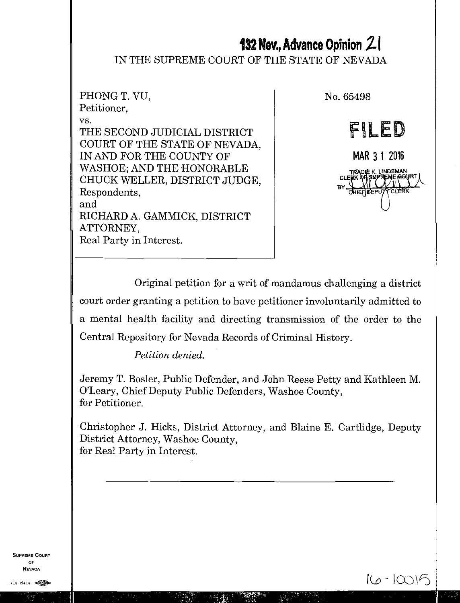# **132 Nev., Advance Opinion 21**

## IN THE SUPREME COURT OF THE STATE OF NEVADA

PHONG T. VU, Petitioner, vs. THE SECOND JUDICIAL DISTRICT COURT OF THE STATE OF NEVADA, IN AND FOR THE COUNTY OF WASHOE; AND THE HONORABLE CHUCK WELLER, DISTRICT JUDGE, Respondents, and RICHARD A. GAMMICK, DISTRICT ATTORNEY, Real Party in Interest.

No. 65498

FILED MAR 3 1 2016 **FRACUE K. LINDEMAN<br>FIX QHISNPFEME GESL<br>HIEF DEPUTY CLERK**<br>HIEF DEPUTY CLERK CLEE RT

Original petition for a writ of mandamus challenging a district court order granting a petition to have petitioner involuntarily admitted to a mental health facility and directing transmission of the order to the Central Repository for Nevada Records of Criminal History.

*Petition denied.* 

Jeremy T. Bosler, Public Defender, and John Reese Petty and Kathleen M. O'Leary, Chief Deputy Public Defenders, Washoe County, for Petitioner.

Christopher J. Hicks, District Attorney, and Blaine E. Cartlidge, Deputy District Attorney, Washoe County, for Real Party in Interest.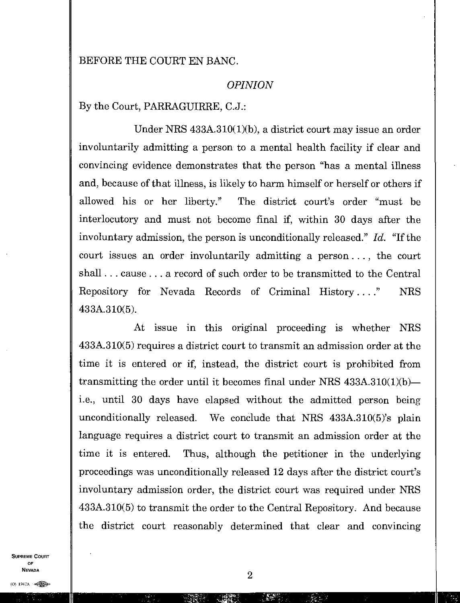## BEFORE THE COURT EN BANC.

#### *OPINION*

By the Court, PARRAGUIRRE, C.J.:

Under NRS 433A.310(1)(b), a district court may issue an order involuntarily admitting a person to a mental health facility if clear and convincing evidence demonstrates that the person "has a mental illness and, because of that illness, is likely to harm himself or herself or others if allowed his or her liberty." The district court's order "must be interlocutory and must not become final if, within 30 days after the involuntary admission, the person is unconditionally released." *Id.* "If the court issues an order involuntarily admitting a person. . . , the court shall . . . cause . . . a record of such order to be transmitted to the Central Repository for Nevada Records of Criminal History. . .." NRS 433A.310(5).

At issue in this original proceeding is whether NRS 433A.310(5) requires a district court to transmit an admission order at the time it is entered or if, instead, the district court is prohibited from transmitting the order until it becomes final under NRS 433A.310(1)(b) i.e., until 30 days have elapsed without the admitted person being unconditionally released. We conclude that NRS 433A.310(5)'s plain language requires a district court to transmit an admission order at the time it is entered. Thus, although the petitioner in the underlying proceedings was unconditionally released 12 days after the district court's involuntary admission order, the district court was required under NRS 433A.310(5) to transmit the order to the Central Repository. And because the district court reasonably determined that clear and convincing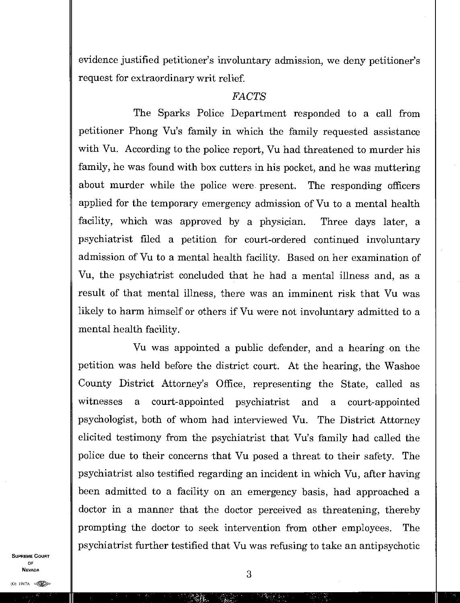evidence justified petitioner's involuntary admission, we deny petitioner's request for extraordinary writ relief

#### *FACTS*

The Sparks Police Department responded to a call from petitioner Phong Vu's family in which the family requested assistance with Vu. According to the police report, Vu had threatened to murder his family, he was found with box cutters in his pocket, and he was muttering about murder while the police were present. The responding officers applied for the temporary emergency admission of Vu to a mental health facility, which was approved by a physician. Three days later, a psychiatrist filed a petition for court-ordered continued involuntary admission of Vu to a mental health facility. Based on her examination of Vu, the psychiatrist concluded that he had a mental illness and, as a result of that mental illness, there was an imminent risk that Vu was likely to harm himself or others if Vu were not involuntary admitted to a mental health facility.

Vu was appointed a public defender, and a hearing on the petition was held before the district court. At the hearing, the Washoe County District Attorney's Office, representing the State, called as witnesses a court-appointed psychiatrist and a court-appointed psychologist, both of whom had interviewed Vu. The District Attorney elicited testimony from the psychiatrist that Vu's family had called the police due to their concerns that Vu posed a threat to their safety. The psychiatrist also testified regarding an incident in which Vu, after having been admitted to a facility on an emergency basis, had approached a doctor in a manner that the doctor perceived as threatening, thereby prompting the doctor to seek intervention from other employees. The psychiatrist further testified that Vu was refusing to take an antipsychotic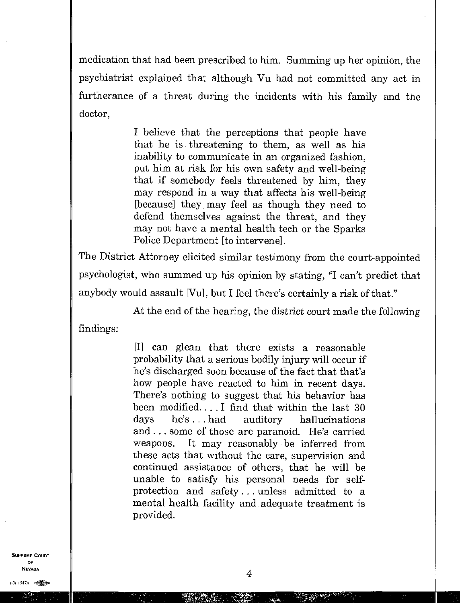medication that had been prescribed to him. Summing up her opinion, the psychiatrist explained that although Vu had not committed any act in furtherance of a threat during the incidents with his family and the doctor,

> I believe that the perceptions that people have that he is threatening to them, as well as his inability to communicate in an organized fashion, put him at risk for his own safety and well-being that if somebody feels threatened by him, they may respond in a way that affects his well-being [because] they may feel as though they need to defend themselves against the threat, and they may not have a mental health tech or the Sparks Police Department [to intervene].

The District Attorney elicited similar testimony from the court-appointed psychologist, who summed up his opinion by stating, "I can't predict that anybody would assault [Vu], but I feel there's certainly a risk of that."

At the end of the hearing, the district court made the following findings:

> [I] can glean that there exists a reasonable probability that a serious bodily injury will occur if he's discharged soon because of the fact that that's how people have reacted to him in recent days. There's nothing to suggest that his behavior has been modified. . . . I find that within the last 30 days he's. . . had auditory hallucinations and ... some of those are paranoid. He's carried weapons. It may reasonably be inferred from these acts that without the care, supervision and continued assistance of others, that he will be unable to satisfy his personal needs for selfprotection and safety. . . unless admitted to a mental health facility and adequate treatment is provided.

SUPREME COURT OF<br>Nevada  $\overline{4}$ 

∵. f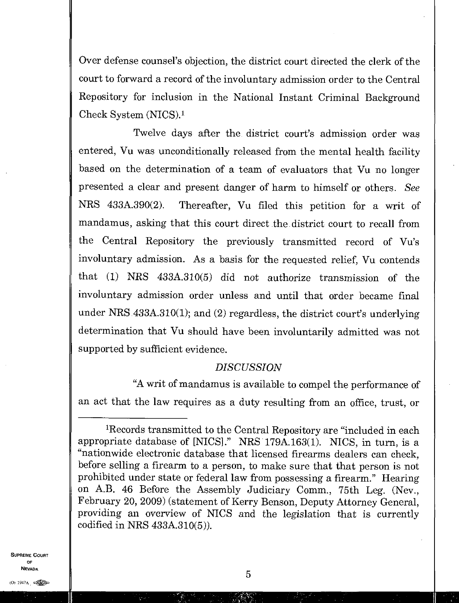Over defense counsel's objection, the district court directed the clerk of the court to forward a record of the involuntary admission order to the Central Repository for inclusion in the National Instant Criminal Background Check System (NICS).<sup>1</sup>

Twelve days after the district court's admission order was entered, Vu was unconditionally released from the mental health facility based on the determination of a team of evaluators that Vu no longer presented a clear and present danger of harm to himself or others. *See*  NRS 433A.390(2). Thereafter, Vu filed this petition for a writ of mandamus, asking that this court direct the district court to recall from the Central Repository the previously transmitted record of Vu's involuntary admission. As a basis for the requested relief, Vu contends that (1) NRS 433A.310(5) did not authorize transmission of the involuntary admission order unless and until that order became final under NRS 433A.310(1); and (2) regardless, the district court's underlying determination that Vu should have been involuntarily admitted was not supported by sufficient evidence.

#### *DISCUSSION*

"A writ of mandamus is available to compel the performance of an act that the law requires as a duty resulting from an office, trust, or

SUPREME COURT OF  $\overline{5}$ 

<sup>&#</sup>x27;Records transmitted to the Central Repository are "included in each appropriate database of [NICS]." NRS 179A.163(1). NICS, in turn, is a "nationwide electronic database that licensed firearms dealers can check, before selling a firearm to a person, to make sure that that person is not prohibited under state or federal law from possessing a firearm." Hearing on A.B. 46 Before the Assembly Judiciary Comm., 75th Leg. (Nev., February 20, 2009) (statement of Kerry Benson, Deputy Attorney General, providing an overview of NICS and the legislation that is currently codified in NRS 433A.310(5)).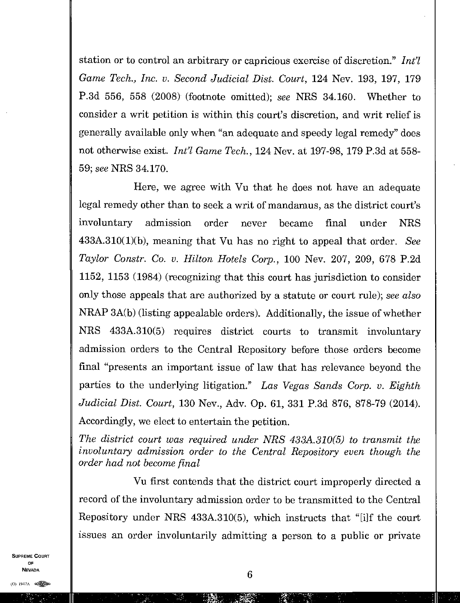station or to control an arbitrary or capricious exercise of discretion." *Int'l Game Tech., Inc. v. Second Judicial Dist. Court,* 124 Nev. 193, 197, 179 P.3d 556, 558 (2008) (footnote omitted); *see* NRS 34.160. Whether to consider a writ petition is within this court's discretion, and writ relief is generally available only when "an adequate and speedy legal remedy" does not otherwise exist. *Int'l Game Tech.*, 124 Nev. at 197-98, 179 P.3d at 558-59; *see* NRS 34.170.

Here, we agree with Vu that he does not have an adequate legal remedy other than to seek a writ of mandamus, as the district court's involuntary admission order never became final under NRS 433A.310(1)(b), meaning that Vu has no right to appeal that order. *See Taylor Constr. Co. v. Hilton Hotels Corp.,* 100 Nev. 207, 209, 678 P.2d 1152, 1153 (1984) (recognizing that this court has jurisdiction to consider only those appeals that are authorized by a statute or court rule); *see also*  NRAP 3A(b) (listing appealable orders). Additionally, the issue of whether NRS 433A.310(5) requires district courts to transmit involuntary admission orders to the Central Repository before those orders become final "presents an important issue of law that has relevance beyond the parties to the underlying litigation." *Las Vegas Sands Corp. v. Eighth Judicial Dist. Court,* 130 Nev., Adv. Op. 61, 331 P.3d 876, 878-79 (2014). Accordingly, we elect to entertain the petition.

*The district court was required under NRS 433A.310(5) to transmit the involuntary admission order to the Central Repository even though the order had not become final* 

Vu first contends that the district court improperly directed a record of the involuntary admission order to be transmitted to the Central Repository under NRS  $433A.310(5)$ , which instructs that "[i]f the court issues an order involuntarily admitting a person to a public or private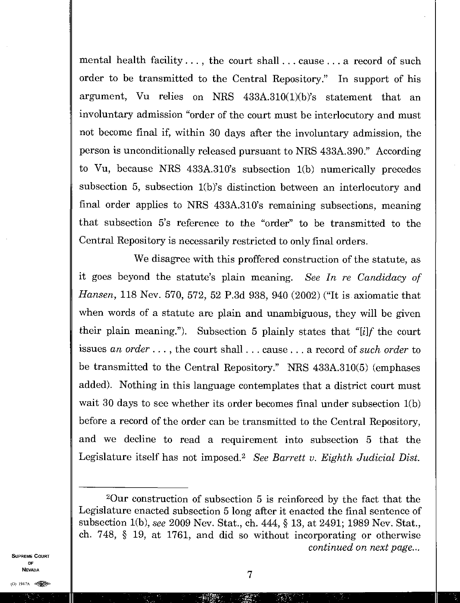mental health facility. . . , the court shall. . . cause . . . a record of such order to be transmitted to the Central Repository." In support of his argument, Vu relies on NRS 433A.310(1)(b)'s statement that an involuntary admission "order of the court must be interlocutory and must not become final if, within 30 days after the involuntary admission, the person is unconditionally released pursuant to NRS 433A.390." According to Vu, because NRS 433A.310's subsection 1(b) numerically precedes subsection 5, subsection 1(b)'s distinction between an interlocutory and final order applies to NRS 433A.310's remaining subsections, meaning that subsection 5's reference to the "order" to be transmitted to the Central Repository is necessarily restricted to only final orders.

We disagree with this proffered construction of the statute, as it goes beyond the statute's plain meaning. *See In re Candidacy of Hansen,* 118 Nev. 570, 572, 52 P.3d 938, 940 (2002) ("It is axiomatic that when words of a statute are plain and unambiguous, they will be given their plain meaning."). Subsection 5 plainly states that "[i]f the court issues an *order. . . ,* the court shall. . . cause. . . a record of *such order* to be transmitted to the Central Repository." NRS 433A.310(5) (emphases added). Nothing in this language contemplates that a district court must wait 30 days to see whether its order becomes final under subsection 1(b) before a record of the order can be transmitted to the Central Repository, and we decline to read a requirement into subsection 5 that the Legislature itself has not imposed.<sup>2</sup> See Barrett v. Eighth Judicial Dist.

<sup>2</sup>Our construction of subsection 5 is reinforced by the fact that the Legislature enacted subsection 5 long after it enacted the final sentence of subsection 1(b), *see* 2009 Nev. Stat., ch. 444, § 13, at 2491; 1989 Nev. Stat., ch. 748, § 19, at 1761, and did so without incorporating or otherwise *continued on next page...*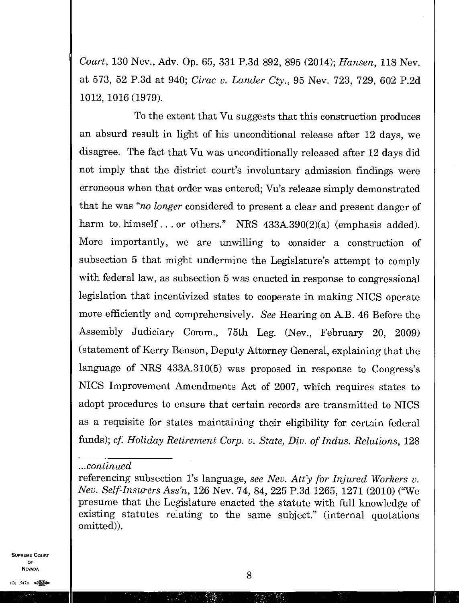*Court,* 130 Nev., Adv. Op. 65, 331 P.3d 892, 895 (2014); *Hansen,* 118 Nev. at 573, 52 P.3d at 940; *Cirac v. Lander Cty.,* 95 Nev. 723, 729, 602 P.2d 1012, 1016 (1979).

To the extent that Vu suggests that this construction produces an absurd result in light of his unconditional release after 12 days, we disagree. The fact that Vu was unconditionally released after 12 days did not imply that the district court's involuntary admission findings were erroneous when that order was entered; Vu's release simply demonstrated that he was *"no longer* considered to present a clear and present danger of harm to himself... or others." NRS 433A.390(2)(a) (emphasis added). More importantly, we are unwilling to consider a construction of subsection 5 that might undermine the Legislature's attempt to comply with federal law, as subsection 5 was enacted in response to congressional legislation that incentivized states to cooperate in making NICS operate more efficiently and comprehensively. *See* Hearing on A.B. 46 Before the Assembly Judiciary Comm., 75th Leg. (Nev., February 20, 2009) (statement of Kerry Benson, Deputy Attorney General, explaining that the language of NRS 433A.310(5) was proposed in response to Congress's NICS Improvement Amendments Act of 2007, which requires states to adopt procedures to ensure that certain records are transmitted to NICS as a requisite for states maintaining their eligibility for certain federal funds); *cf. Holiday Retirement Corp. v. State, Div. of Indus. Relations, 128* 

SUPREME COURT OF NEVADA

8

*<sup>...</sup>continued* 

referencing subsection l's language, *see Nev. Att'y for Injured Workers v. Nev. Self-Insurers Ass'n,* 126 Nev. 74, 84, 225 P.3d 1265, 1271 (2010) ("We presume that the Legislature enacted the statute with full knowledge of existing statutes relating to the same subject." (internal quotations omitted)).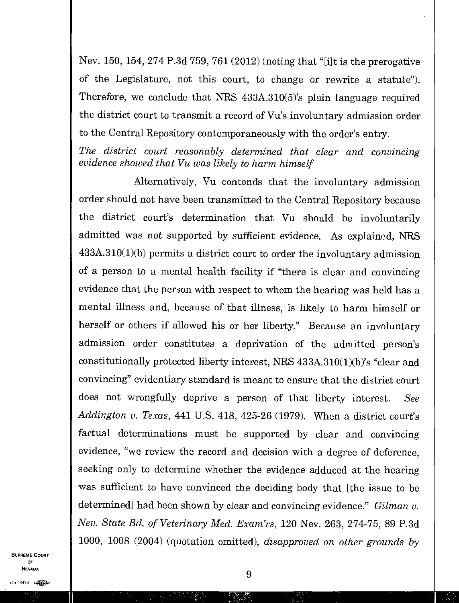Nev. 150, 154, 274 P.3d 759, 761 (2012) (noting that "[i]t is the prerogative of the Legislature, not this court, to change or rewrite a statute"). Therefore, we conclude that NRS 433A.310(5)'s plain language required the district court to transmit a record of Vu's involuntary admission order to the Central Repository contemporaneously with the order's entry.

*The district court reasonably determined that clear and convincing evidence showed that Vu was likely to harm himself* 

Alternatively, Vu contends that the involuntary admission order should not have been transmitted to the Central Repository because the district court's determination that Vu should be involuntarily admitted was not supported by sufficient evidence. As explained, NRS 433A.310(1)(b) permits a district court to order the involuntary admission of a person to a mental health facility if "there is clear and convincing evidence that the person with respect to whom the hearing was held has a mental illness and, because of that illness, is likely to harm himself or herself or others if allowed his or her liberty." Because an involuntary admission order constitutes a deprivation of the admitted person's constitutionally protected liberty interest, NRS 433A.310(1)(b)'s "clear and convincing" evidentiary standard is meant to ensure that the district court does not wrongfully deprive a person of that liberty interest. *See Addington v. Texas,* 441 U.S. 418, 425-26 (1979). When a district court's factual determinations must be supported by clear and convincing evidence, "we review the record and decision with a degree of deference, seeking only to determine whether the evidence adduced at the hearing was sufficient to have convinced the deciding body that [the issue to be determined] had been shown by clear and convincing evidence." *Gilman v. Nev. State Bd. of Veterinary Med. Exam'rs,* 120 Nev. 263, 274-75, 89 P.3d 1000, 1008 (2004) (quotation omitted), *disapproved on other grounds by*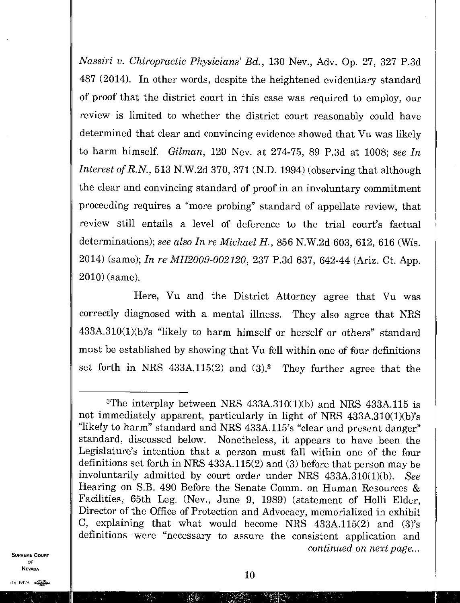*Nassiri v. Chiropractic Physicians' Bd. ,* 130 Nev., Adv. Op. 27, 327 P.3d 487 (2014). In other words, despite the heightened evidentiary standard of proof that the district court in this case was required to employ, our review is limited to whether the district court reasonably could have determined that clear and convincing evidence showed that Vu was likely to harm himself. *Gilman,* 120 Nev. at 274-75, 89 P.3d at 1008; *see In Interest of R.N.,* 513 N.W.2d 370, 371 (N.D. 1994) (observing that although the clear and convincing standard of proof in an involuntary commitment proceeding requires a "more probing" standard of appellate review, that review still entails a level of deference to the trial court's factual determinations); *see also In re Michael H.,* 856 N.W.2d 603, 612, 616 (Wis. 2014) (same); *In re MH2009-002120,* 237 P.3d 637, 642-44 (Ariz. Ct. App. 2010) (same)

Here, Vu and the District Attorney agree that Vu was correctly diagnosed with a mental illness. They also agree that NRS 433A.310(1)(b)'s "likely to harm himself or herself or others" standard must be established by showing that Vu fell within one of four definitions set forth in NRS  $433A.115(2)$  and  $(3).<sup>3</sup>$  They further agree that the

<sup>&</sup>lt;sup>3</sup>The interplay between NRS  $433A.310(1)(b)$  and NRS  $433A.115$  is not immediately apparent, particularly in light of NRS 433A.310(1)(b)'s "likely to harm" standard and NRS 433A.115's "clear and present danger" standard, discussed below. Nonetheless, it appears to have been the Legislature's intention that a person must fall within one of the four definitions set forth in NRS 433A.115(2) and (3) before that person may be involuntarily admitted by court order under NRS 433A.310(1)(b). *See*  Hearing on S.B. 490 Before the Senate Comm. on Human Resources & Facilities, 65th Leg. (Nev., June 9, 1989) (statement of Holli Elder, Director of the Office of Protection and Advocacy, memorialized in exhibit C, explaining that what would become NRS  $433A.115(2)$  and  $(3)$ 's definitions were "necessary to assure the consistent application and *continued on next page...*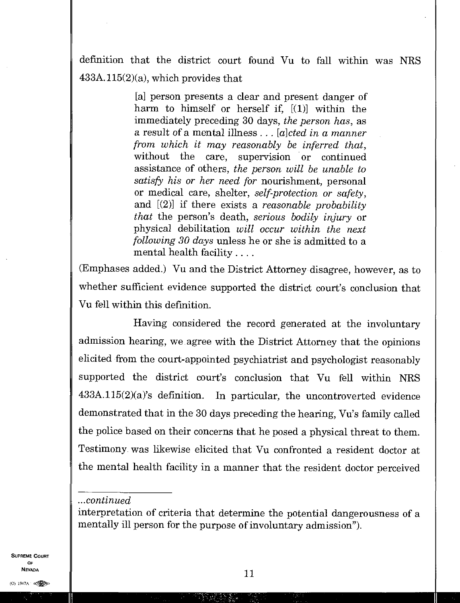definition that the district court found Vu to fall within was NRS  $433A.115(2)(a)$ , which provides that

> [a] person presents a clear and present danger of harm to himself or herself if, [(1)] within the immediately preceding 30 days, *the person has,* as a result of a mental illness . . . *[a]cted in a manner from which it may reasonably be inferred that,*  without the care, supervision or continued assistance of others, *the person will be unable to satisfy his or her need for* nourishment, personal or medical care, shelter, *self-protection or safety,*  and [(2)] if there exists a *reasonable probability that* the person's death, *serious bodily injury* or physical debilitation *will occur within the next following 30 days* unless he or she is admitted to a mental health facility. .. . .

(Emphases added.) Vu and the District Attorney disagree, however, as to whether sufficient evidence supported the district court's conclusion that Vu fell within this definition.

Having considered the record generated at the involuntary admission hearing, we agree with the District Attorney that the opinions elicited from the court-appointed psychiatrist and psychologist reasonably supported the district court's conclusion that Vu fell within MRS 433A.115(2)(a)'s definition. In particular, the uncontroverted evidence demonstrated that in the 30 days preceding the hearing, Vu's family called the police based on their concerns that he posed a physical threat to them. Testimony was likewise elicited that Vu confronted a resident doctor at the mental health facility in a manner that the resident doctor perceived

SUPREME COURT OF<br>Nevada

*<sup>...</sup>continued* 

interpretation of criteria that determine the potential dangerousness of a mentally ill person for the purpose of involuntary admission").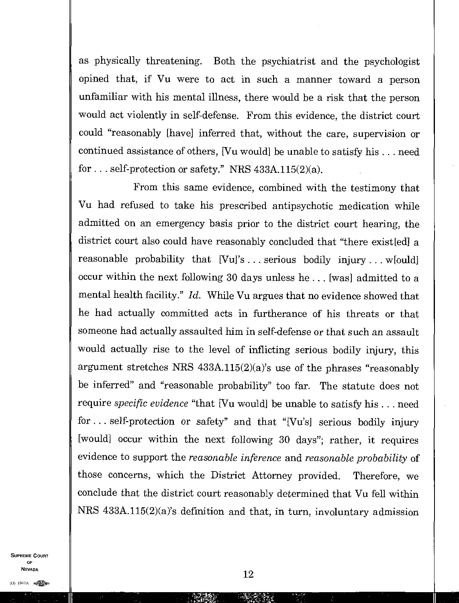as physically threatening. Both the psychiatrist and the psychologist opined that, if Vu were to act in such a manner toward a person unfamiliar with his mental illness, there would be a risk that the person would act violently in self-defense. From this evidence, the district court could "reasonably [have] inferred that, without the care, supervision or continued assistance of others, [Vu would] be unable to satisfy his . . . need for. . self-protection or safety." NRS 433A.115(2)(a).

From this same evidence, combined with the testimony that Vu had refused to take his prescribed antipsychotic medication while admitted on an emergency basis prior to the district court hearing, the district court also could have reasonably concluded that "there existed a reasonable probability that  $[Vu]$ 's... serious bodily injury... w[ould] occur within the next following 30 days unless he . . [was] admitted to a mental health facility." *Id.* While Vu argues that no evidence showed that he had actually committed acts in furtherance of his threats or that someone had actually assaulted him in self-defense or that such an assault would actually rise to the level of inflicting serious bodily injury, this argument stretches NRS  $433A.115(2)(a)$ 's use of the phrases "reasonably be inferred" and "reasonable probability" too far. The statute does not require *specific evidence* "that [Vu would] be unable to satisfy his . . . need for. . self-protection or safety" and that "[Vu's] serious bodily injury [would] occur within the next following 30 days"; rather, it requires evidence to support the *reasonable inference* and *reasonable probability* of those concerns, which the District Attorney provided. Therefore, we conclude that the district court reasonably determined that Vu fell within NRS 433A.115(2)(a)'s definition and that, in turn, involuntary admission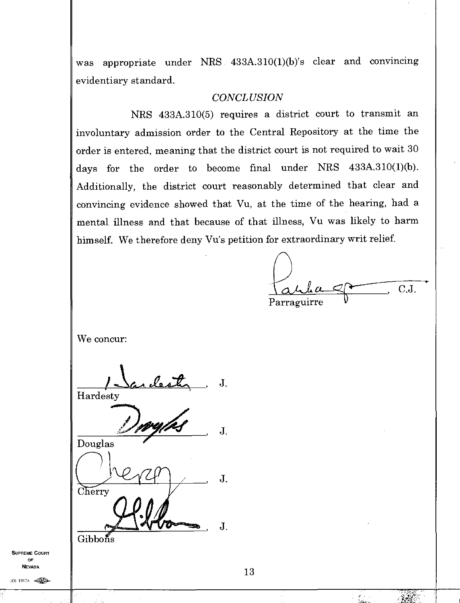was appropriate under NRS 433A.310(1)(b)'s clear and convincing evidentiary standard.

## *CONCLUSION*

NRS 433A.310(5) requires a district court to transmit an involuntary admission order to the Central Repository at the time the order is entered, meaning that the district court is not required to wait 30 days for the order to become final under NRS  $433A.310(1)(b)$ . Additionally, the district court reasonably determined that clear and convincing evidence showed that Vu, at the time of the hearing, had a mental illness and that because of that illness, Vu was likely to harm himself. We therefore deny Vu's petition for extraordinary writ relief.

 $\int \mathcal{A} \cdot \mathcal{A} \cdot \mathcal{A} \cdot \mathcal{A} \cdot \mathcal{A} \cdot \mathcal{A} \cdot \mathcal{A} \cdot \mathcal{A} \cdot \mathcal{A} \cdot \mathcal{A} \cdot \mathcal{A} \cdot \mathcal{A} \cdot \mathcal{A} \cdot \mathcal{A} \cdot \mathcal{A} \cdot \mathcal{A} \cdot \mathcal{A} \cdot \mathcal{A} \cdot \mathcal{A} \cdot \mathcal{A} \cdot \mathcal{A} \cdot \mathcal{A} \cdot \mathcal{A} \cdot \mathcal{A} \cdot \mathcal{A} \cdot \mathcal{A} \cdot \mathcal{A} \cdot \math$ Parraguirre

We concur:

*AecA* , J. Hardesty

J. Douglas J. Cherry

Gibbons

SUPREME COURT OF NEVADA

13

J.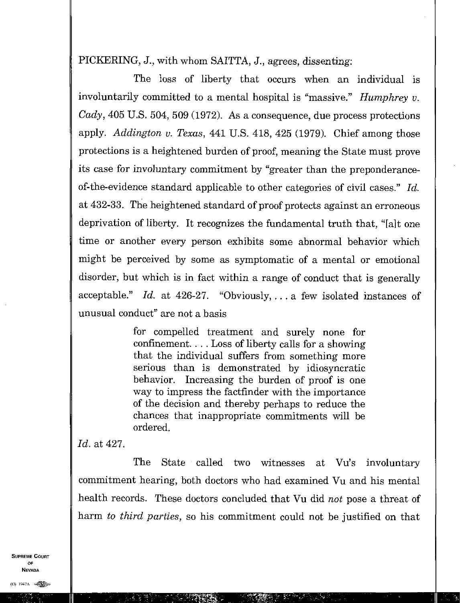PICKERING, J., with whom SAITTA, J., agrees, dissenting:

The loss of liberty that occurs when an individual is involuntarily committed to a mental hospital is "massive." *Humphrey v. Cady,* 405 U.S. 504, 509 (1972). As a consequence, due process protections apply. *Addington v. Texas,* 441 U.S. 418, 425 (1979). Chief among those protections is a heightened burden of proof, meaning the State must prove its case *for* involuntary commitment by "greater than the preponderanceof-the-evidence standard applicable to other categories of civil cases." *Id.*  at 432-33. The heightened standard of proof protects against an erroneous deprivation of liberty. It recognizes the fundamental truth that, "[alt one time or another every person exhibits some abnormal behavior which might be perceived by some as symptomatic of a mental or emotional disorder, but which is in fact within a range of conduct that is generally acceptable." *Id.* at 426-27. "Obviously, .. . a few isolated instances of unusual conduct" are not a basis

> for compelled treatment and surely none for confinement. . . . Loss of liberty calls for a showing that the individual suffers from something more serious than is demonstrated by idiosyncratic behavior. Increasing the burden of proof is one way to impress the factfinder with the importance of the decision and thereby perhaps to reduce the chances that inappropriate commitments will be ordered.

*Id.* at 427.

The State called two witnesses at Vu's involuntary commitment hearing, both doctors who had examined Vu and his mental health records. These doctors concluded that Vu did *not* pose a threat of harm *to third parties,* so his commitment could not be justified on that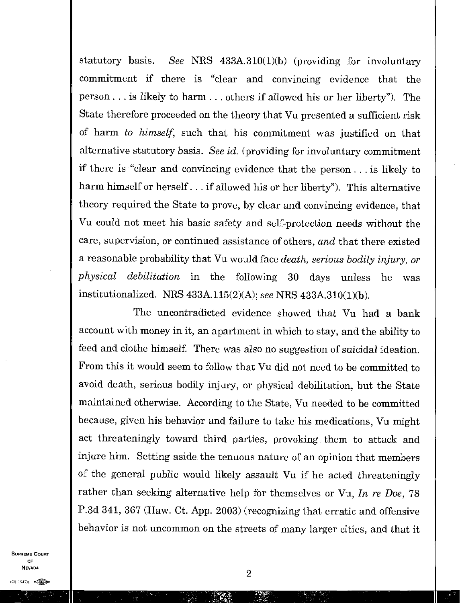statutory basis. *See* NRS 433A.310(1)(b) (providing for involuntary commitment if there is "clear and convincing evidence that the person. .. is likely to harm. . . others if allowed his or her liberty"). The State therefore proceeded on the theory that Vu presented a sufficient risk of harm *to himself,* such that his commitment was justified on that alternative statutory basis. *See id.* (providing for involuntary commitment if there is "clear and convincing evidence that the person. . . is likely to harm himself or herself. . . if allowed his or her liberty"). This alternative theory required the State to prove, by clear and convincing evidence, that Vu could not meet his basic safety and self-protection needs without the care, supervision, or continued assistance of others, *and* that there existed a reasonable probability that Vu would face *death, serious bodily injury, or physical debilitation* in the following 30 days unless he was institutionalized. NRS 433A.115(2)(A); *see* NRS 433A.310(1)(b).

The uncontradicted evidence showed that Vu had a bank account with money in it, an apartment in which to stay, and the ability to feed and clothe himself. There was also no suggestion of suicidal ideation. From this it would seem to follow that Vu did not need to be committed to avoid death, serious bodily injury, or physical debilitation, but the State maintained otherwise. According to the State, Vu needed to be committed because, given his behavior and failure to take his medications, Vu might act threateningly toward third parties, provoking them to attack and injure him. Setting aside the tenuous nature of an opinion that members of the general public would likely assault Vu if he acted threateningly rather than seeking alternative help for themselves or Vu, *In re Doe,* 78 P.3d 341, 367 (Haw. Ct. App. 2003) (recognizing that erratic and offensive behavior is not uncommon on the streets of many larger cities, and that it

SUPREME COURT OF NEVADA

(0) 1947A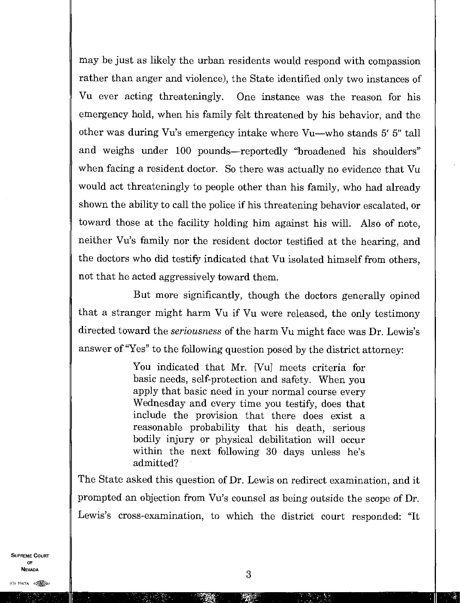may be just as likely the urban residents would respond with compassion rather than anger and violence), the State identified only two instances of Vu ever acting threateningly. One instance was the reason for his emergency hold, when his family felt threatened by his behavior, and the other was during Vu's emergency intake where Vu—who stands 5' 5" tall and weighs under 100 pounds—reportedly "broadened his shoulders" when facing a resident doctor. So there was actually no evidence that Vu would act threateningly to people other than his family, who had already shown the ability to call the police if his threatening behavior escalated, or toward those at the facility holding him against his will. Also of note, neither Vu's family nor the resident doctor testified at the hearing, and the doctors who did testify indicated that Vu isolated himself from others, not that he acted aggressively toward them.

But more significantly, though the doctors generally opined that a stranger might harm Vu if Vu were released, the only testimony directed toward the *seriousness* of the harm Vu might face was Dr. Lewis's answer of "Yes" to the following question posed by the district attorney:

> You indicated that Mr. [Vu] meets criteria for basic needs, self-protection and safety. When you apply that basic need in your normal course every Wednesday and every time you testify, does that include the provision that there does exist a reasonable probability that his death, serious bodily injury or physical debilitation will occur within the next following 30 days unless he's admitted?

The State asked this question of Dr. Lewis on redirect examination, and it prompted an objection from Vu's counsel as being outside the scope of Dr. Lewis's cross-examination, to which the district court responded: "It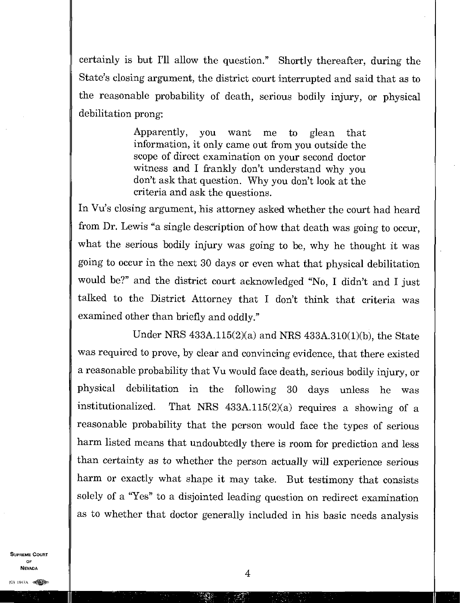certainly is but I'll allow the question." Shortly thereafter, during the State's closing argument, the district court interrupted and said that as to the reasonable probability of death, serious bodily injury, or physical debilitation prong:

> Apparently, you want me to glean that information, it only came out from you outside the scope of direct examination on your second doctor witness and I frankly don't understand why you don't ask that question. Why you don't look at the criteria and ask the questions.

In Vu's closing argument, his attorney asked whether the court had heard from Dr. Lewis "a single description of how that death was going to occur, what the serious bodily injury was going to be, why he thought it was going to occur in the next 30 days or even what that physical debilitation would be?" and the district court acknowledged "No, I didn't and I just talked to the District Attorney that I don't think that criteria was examined other than briefly and oddly."

Under NRS 433A.115(2)(a) and NRS 433A.310(1)(b), the State was required to prove, by clear and convincing evidence, that there existed a reasonable probability that Vu would face death, serious bodily injury, or <sup>p</sup>hysical debilitation in the following 30 days unless he was institutionalized. That NRS  $433A.115(2)(a)$  requires a showing of a reasonable probability that the person would face the types of serious harm listed means that undoubtedly there is room for prediction and less than certainty as to whether the person actually will experience serious harm or exactly what shape it may take. But testimony that consists solely of a "Yes" to a disjointed leading question on redirect examination as to whether that doctor generally included in his basic needs analysis

SUPREME COURT OF  $\frac{1}{4}$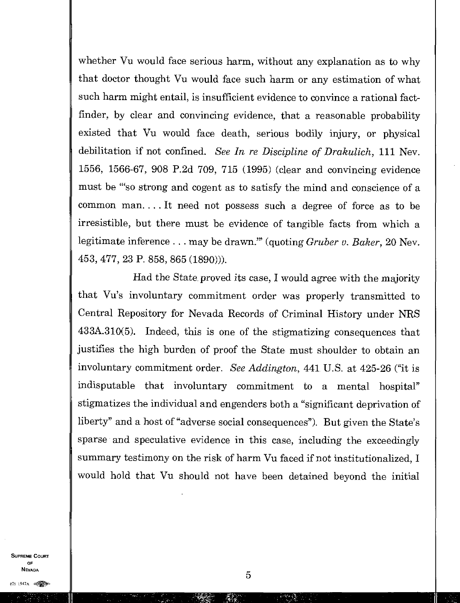whether Vu would face serious harm, without any explanation as to why that doctor thought Vu would face such harm or any estimation of what such harm might entail, is insufficient evidence to convince a rational factfinder, by clear and convincing evidence, that a reasonable probability existed that Vu would face death, serious bodily injury, or physical debilitation if not confined *See In re Discipline of Drakulich,* 111 Nev. 1556, 1566-67, 908 P.2d 709, 715 (1995) (clear and convincing evidence must be "so strong and cogent as to satisfy the mind and conscience of a common man. . . . It need not possess such a degree of force as to be irresistible, but there must be evidence of tangible facts from which a legitimate inference. . . may be drawn." (quoting *Gruber v. Baker,* 20 Nev. 453, 477, 23 P. 858, 865 (1890)).

Had the State proved its case, I would agree with the majority that Vu's involuntary commitment order was properly transmitted to Central Repository for Nevada Records of Criminal History under NRS 433A.310(5). Indeed, this is one of the stigmatizing consequences that justifies the high burden of proof the State must shoulder to obtain an involuntary commitment order. *See Addington,* 441 U.S. at 425-26 ("it is indisputable that involuntary commitment to a mental hospital" stigmatizes the individual and engenders both a "significant deprivation of liberty" and a host of "adverse social consequences"). But given the State's sparse and speculative evidence in this case, including the exceedingly summary testimony on the risk of harm Vu faced if not institutionalized, I would hold that Vu should not have been detained beyond the initial